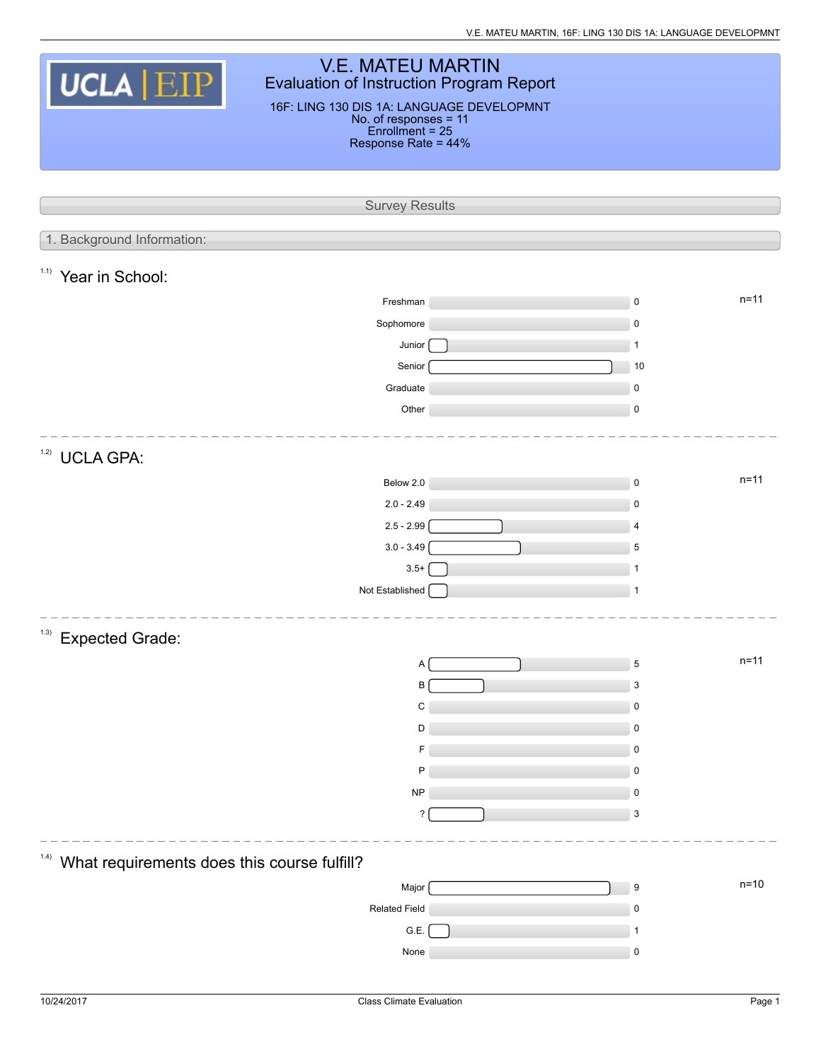V.E. MATEU MARTIN, 16F: LING 130 DIS 1A: LANGUAGE DEVELOPMNT

| <b>V.E. MATEU MARTIN</b><br>UCLA   EIP<br><b>Evaluation of Instruction Program Report</b><br>16F: LING 130 DIS 1A: LANGUAGE DEVELOPMNT<br>No. of responses = 11<br>Enrollment = 25<br>Response Rate = 44% |                           |  |                            |          |  |  |  |
|-----------------------------------------------------------------------------------------------------------------------------------------------------------------------------------------------------------|---------------------------|--|----------------------------|----------|--|--|--|
|                                                                                                                                                                                                           | <b>Survey Results</b>     |  |                            |          |  |  |  |
|                                                                                                                                                                                                           |                           |  |                            |          |  |  |  |
| 1. Background Information:                                                                                                                                                                                |                           |  |                            |          |  |  |  |
| 1.1)<br>Year in School:                                                                                                                                                                                   |                           |  |                            |          |  |  |  |
|                                                                                                                                                                                                           | Freshman                  |  | $\mathsf 0$                | $n = 11$ |  |  |  |
|                                                                                                                                                                                                           | Sophomore                 |  | $\pmb{0}$                  |          |  |  |  |
|                                                                                                                                                                                                           | Junior                    |  | $\mathbf{1}$               |          |  |  |  |
|                                                                                                                                                                                                           | Senior                    |  | 10                         |          |  |  |  |
|                                                                                                                                                                                                           | Graduate<br>Other         |  | $\mathsf 0$<br>$\mathsf 0$ |          |  |  |  |
|                                                                                                                                                                                                           |                           |  |                            |          |  |  |  |
| 1.2)<br><b>UCLA GPA:</b>                                                                                                                                                                                  |                           |  |                            |          |  |  |  |
|                                                                                                                                                                                                           | Below 2.0                 |  | $\mathsf 0$                | $n = 11$ |  |  |  |
|                                                                                                                                                                                                           | $2.0 - 2.49$              |  | $\mathsf 0$                |          |  |  |  |
|                                                                                                                                                                                                           | $2.5 - 2.99$              |  | $\overline{4}$             |          |  |  |  |
|                                                                                                                                                                                                           | $3.0 - 3.49$              |  | 5                          |          |  |  |  |
|                                                                                                                                                                                                           | $3.5+$<br>Not Established |  | 1<br>$\mathbf 1$           |          |  |  |  |
|                                                                                                                                                                                                           |                           |  |                            |          |  |  |  |
| (1.3)<br><b>Expected Grade:</b>                                                                                                                                                                           |                           |  |                            |          |  |  |  |
|                                                                                                                                                                                                           | А                         |  | 5                          | $n = 11$ |  |  |  |
|                                                                                                                                                                                                           | В                         |  | 3                          |          |  |  |  |
|                                                                                                                                                                                                           | C                         |  | 0                          |          |  |  |  |
|                                                                                                                                                                                                           | D                         |  | 0                          |          |  |  |  |
|                                                                                                                                                                                                           | P                         |  | 0<br>0                     |          |  |  |  |
|                                                                                                                                                                                                           | <b>NP</b>                 |  | 0                          |          |  |  |  |
|                                                                                                                                                                                                           | ?                         |  | $\mathsf 3$                |          |  |  |  |
|                                                                                                                                                                                                           |                           |  |                            |          |  |  |  |
| (1.4)<br>What requirements does this course fulfill?                                                                                                                                                      |                           |  |                            |          |  |  |  |
|                                                                                                                                                                                                           | Major                     |  | 9                          | $n=10$   |  |  |  |
|                                                                                                                                                                                                           | Related Field             |  | 0                          |          |  |  |  |
|                                                                                                                                                                                                           | G.E.                      |  | 1                          |          |  |  |  |
|                                                                                                                                                                                                           | None                      |  | 0                          |          |  |  |  |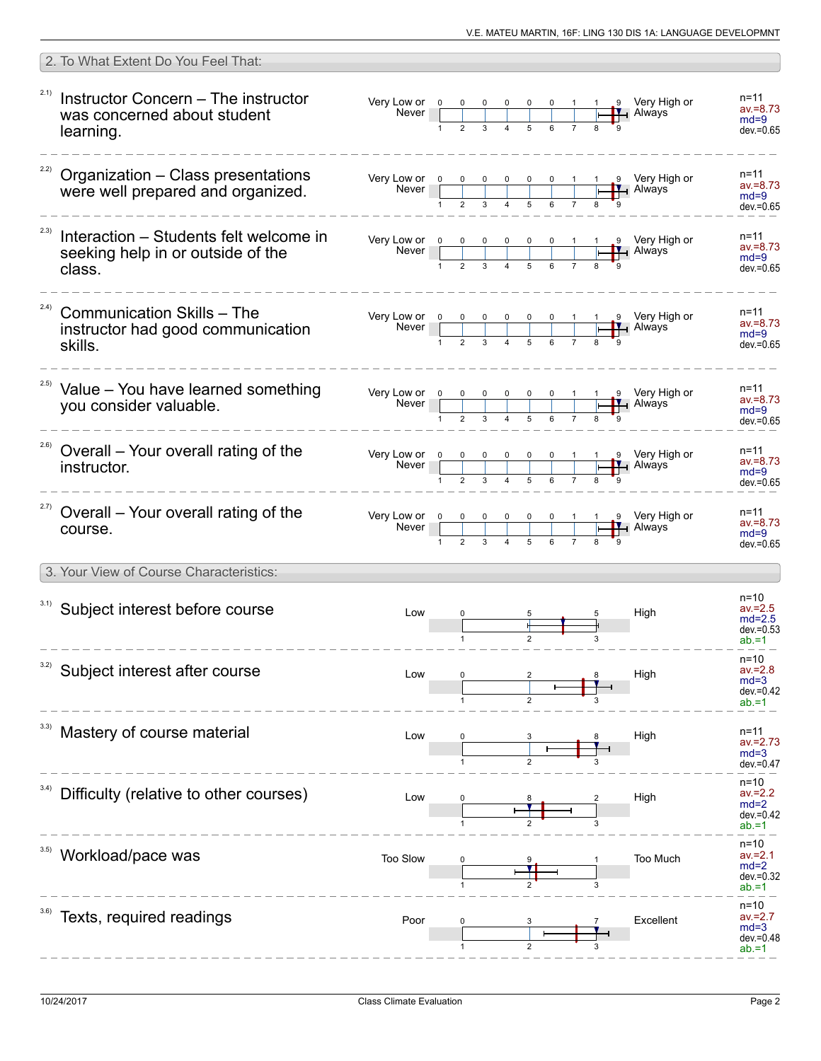| 2. To What Extent Do You Feel That:                                                           |                                                                                                                                                                          |  |  |                                                                                                                                                                                                                                                                                                                                                                                                        |                                                              |
|-----------------------------------------------------------------------------------------------|--------------------------------------------------------------------------------------------------------------------------------------------------------------------------|--|--|--------------------------------------------------------------------------------------------------------------------------------------------------------------------------------------------------------------------------------------------------------------------------------------------------------------------------------------------------------------------------------------------------------|--------------------------------------------------------------|
| 2.1)<br>Instructor Concern - The instructor<br>was concerned about student<br>learning.       |                                                                                                                                                                          |  |  | Very Low or $\begin{array}{ c c c c c c c c c }\n\hline\n&\text{Never}&0&0&0&0&0&1&1&9&\text{Very High or }\n\hline\n&1&2&3&4&5&6&7&8&9&\n\end{array}$                                                                                                                                                                                                                                                 | n=11<br>$av = 8.73$<br>$md=9$<br>$dev = 0.65$                |
| $222$ Organization - Class presentations<br>were well prepared and organized.                 | Very Low or $\begin{array}{ c c c c c }\n\hline\n\text{Never} & \begin{array}{ c c c c }\n\hline\n1 & 2 & 3 & 4 & 5 & 6 & 7 \\ \hline\n\end{array}\n\hline\n\end{array}$ |  |  | 1 9 Very High or<br>HAlways                                                                                                                                                                                                                                                                                                                                                                            | n=11<br>$av = 8.73$<br>$md=9$<br>$dev = 0.65$                |
| 2.3)<br>Interaction - Students felt welcome in<br>seeking help in or outside of the<br>class. |                                                                                                                                                                          |  |  | Very Low or $\begin{array}{ c c c c c c c c c }\n\hline\n&\text{Never}&0&0&0&0&0&1&1&9&\text{Very High or }\n\hline\n&1&2&3&4&5&6&7&8&9&\n\hline\n\end{array}$                                                                                                                                                                                                                                         | n=11<br>$av = 8.73$<br>$md=9$<br>$dev = 0.65$                |
| (2.4)<br><b>Communication Skills - The</b><br>instructor had good communication<br>skills.    |                                                                                                                                                                          |  |  | Very Low or $\begin{array}{ c c c c c c }\n\hline\n0 & 0 & 0 & 0 & 0 & 1 & 1 & 9 \\ \hline\n\end{array}$ Very High or Never <b>New Alman Structure 1</b> Always                                                                                                                                                                                                                                        | n=11<br>$av = 8.73$<br>$md=9$<br>$dev = 0.65$                |
| <sup>2.5)</sup> Value - You have learned something<br>you consider valuable.                  |                                                                                                                                                                          |  |  | Very Low or $\begin{array}{ c c c c c c }\n\hline\n&\text{N} & \text{O} & \text{O} & \text{O} & \text{O} & \text{O} & \text{O} & \text{O} & \text{O} & \text{O} & \text{O} & \text{O} & \text{O} & \text{O} & \text{O} & \text{O} & \text{O} & \text{O} & \text{O} & \text{O} & \text{O} & \text{O} & \text{O} & \text{O} & \text{O} & \text{O} & \text{O} & \text{O} & \text{O} & \text{O} & \text{O$ | n=11<br>$av = 8.73$<br>$md=9$<br>$dev = 0.65$                |
| 2.6)<br>Overall - Your overall rating of the<br>instructor.                                   |                                                                                                                                                                          |  |  | Very Low or $\begin{array}{ccccccc}\n0 & 0 & 0 & 0 & 0 & 1 & 1 & 9 \\ \hline\n\end{array}$ Very High or Never<br>$\frac{1}{2}$ Always                                                                                                                                                                                                                                                                  | n=11<br>$av = 8.73$<br>$md=9$<br>$dev = 0.65$                |
| <sup>2.7)</sup> Overall – Your overall rating of the<br>course.                               |                                                                                                                                                                          |  |  | 1 9 Very High or<br>H Always                                                                                                                                                                                                                                                                                                                                                                           | $n = 11$<br>$av = 8.73$<br>$md=9$<br>$dev = 0.65$            |
| 3. Your View of Course Characteristics:                                                       |                                                                                                                                                                          |  |  |                                                                                                                                                                                                                                                                                                                                                                                                        |                                                              |
| 3.1) Subject interest before course                                                           | Low                                                                                                                                                                      |  |  | High                                                                                                                                                                                                                                                                                                                                                                                                   | n=10<br>$av = 2.5$<br>$md=2.5$<br>$dev = 0.53$<br>$ab = 1$   |
| 3.2)<br>Subject interest after course                                                         | Low                                                                                                                                                                      |  |  | High                                                                                                                                                                                                                                                                                                                                                                                                   | $n = 10$<br>$av = 2.8$<br>$md=3$<br>$dev = 0.42$<br>$ab = 1$ |
| Mastery of course material                                                                    | Low                                                                                                                                                                      |  |  | High                                                                                                                                                                                                                                                                                                                                                                                                   | n=11<br>$av = 2.73$<br>$md=3$<br>$dev = 0.47$                |
| 3.4)<br>Difficulty (relative to other courses)                                                | Low                                                                                                                                                                      |  |  | High                                                                                                                                                                                                                                                                                                                                                                                                   | n=10<br>$av = 2.2$<br>$md=2$<br>$dev = 0.42$<br>$ab = 1$     |
| Workload/pace was                                                                             | Too Slow                                                                                                                                                                 |  |  | Too Much                                                                                                                                                                                                                                                                                                                                                                                               | $n = 10$<br>$av = 2.1$<br>$md=2$<br>dev.=0.32<br>$ab = 1$    |
| Texts, required readings                                                                      | Poor                                                                                                                                                                     |  |  | Excellent                                                                                                                                                                                                                                                                                                                                                                                              | n=10<br>$av = 2.7$<br>$md=3$<br>$dev = 0.48$<br>$ab = 1$     |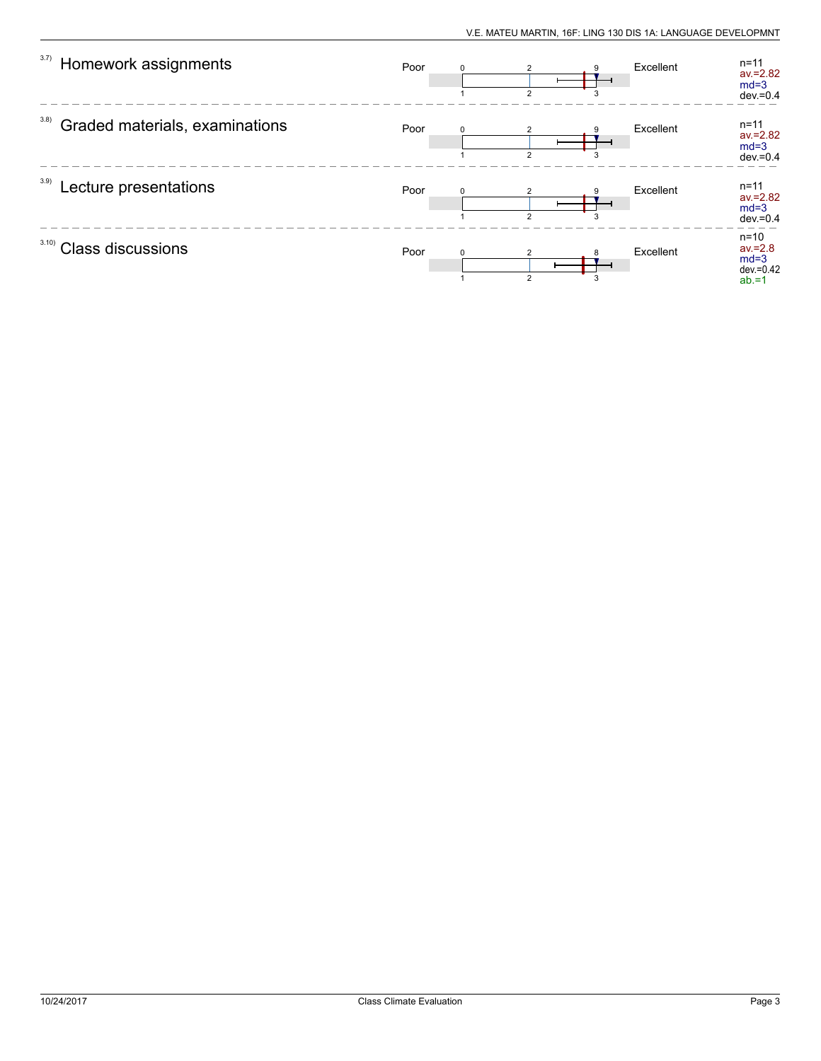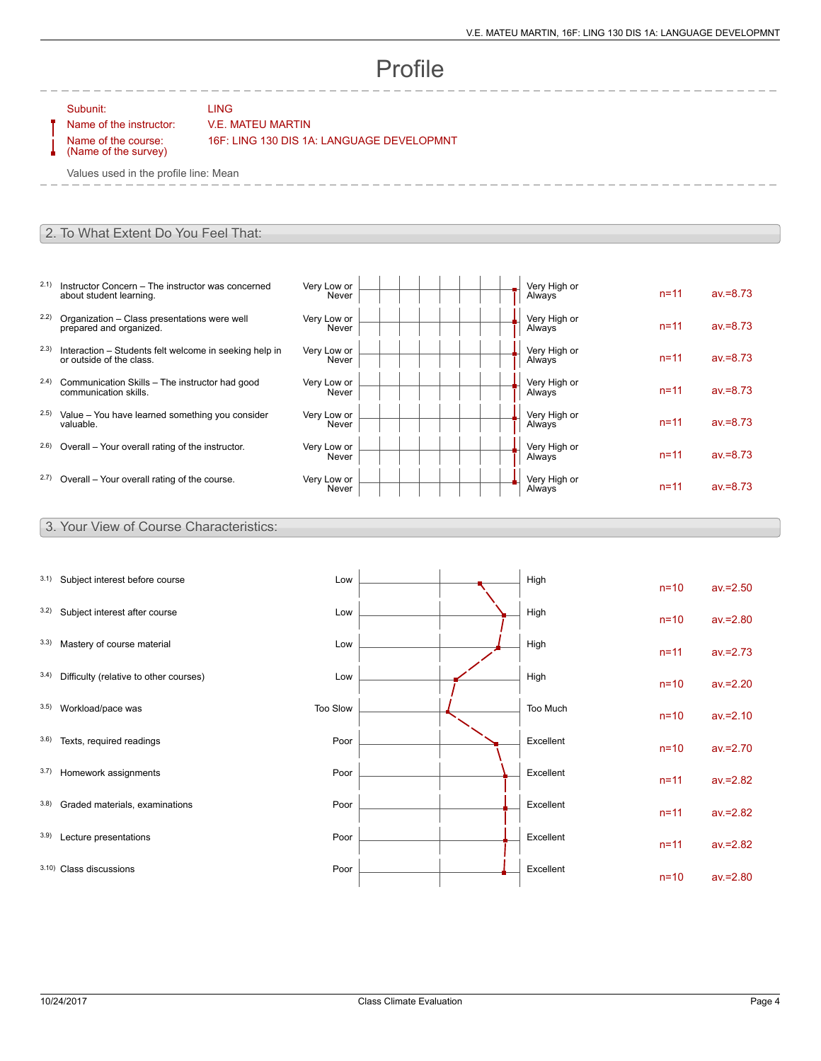# Profile

#### Subunit: LING

Name of the course: (Name of the survey)

 $- - - -$ 

Name of the instructor: V.E. MATEU MARTIN

16F: LING 130 DIS 1A: LANGUAGE DEVELOPMNT

Values used in the profile line: Mean

#### 2. To What Extent Do You Feel That:

- 2.1) Instructor Concern The instructor was concerned about student learning.
- 2.2) Organization Class presentations were well prepared and organized.
- 2.3) Interaction Students felt welcome in seeking help in or outside of the class.
- 2.4) Communication Skills The instructor had good communication skills.
- 2.5) Value You have learned something you consider valuable.
- $2.6$ ) Overall Your overall rating of the instructor.
- $2.7)$  Overall Your overall rating of the course.

| Very Low or<br>Never | Very High or<br>Always | $n = 11$ | $av = 8.73$ |
|----------------------|------------------------|----------|-------------|
| Very Low or<br>Never | Very High or<br>Always | $n = 11$ | $av = 8.73$ |
| Very Low or<br>Never | Very High or<br>Always | $n = 11$ | $av = 8.73$ |
| Very Low or<br>Never | Very High or<br>Always | $n = 11$ | $av = 8.73$ |
| Very Low or<br>Never | Very High or<br>Always | $n = 11$ | $av = 8.73$ |
| Very Low or<br>Never | Very High or<br>Always | $n = 11$ | $av = 8.73$ |
| Very Low or<br>Never | Very High or<br>Always | $n = 11$ | $av = 8.73$ |

### 3. Your View of Course Characteristics:

| 3.1) | Subject interest before course         | Low      |  | High      | $n=10$   | $av = 2.50$ |
|------|----------------------------------------|----------|--|-----------|----------|-------------|
| 3.2) | Subject interest after course          | Low      |  | High      | $n=10$   | $av = 2.80$ |
| 3.3) | Mastery of course material             | Low      |  | High      | $n = 11$ | $av = 2.73$ |
| 3.4) | Difficulty (relative to other courses) | Low      |  | High      | $n=10$   | $av = 2.20$ |
| 3.5) | Workload/pace was                      | Too Slow |  | Too Much  | $n=10$   | $av = 2.10$ |
| 3.6) | Texts, required readings               | Poor     |  | Excellent | $n=10$   | $av = 2.70$ |
| 3.7) | Homework assignments                   | Poor     |  | Excellent | $n = 11$ | $av = 2.82$ |
| 3.8) | Graded materials, examinations         | Poor     |  | Excellent | $n = 11$ | $av = 2.82$ |
| 3.9) | Lecture presentations                  | Poor     |  | Excellent | $n = 11$ | $av = 2.82$ |
|      | 3.10) Class discussions                | Poor     |  | Excellent | $n = 10$ | $av = 2.80$ |